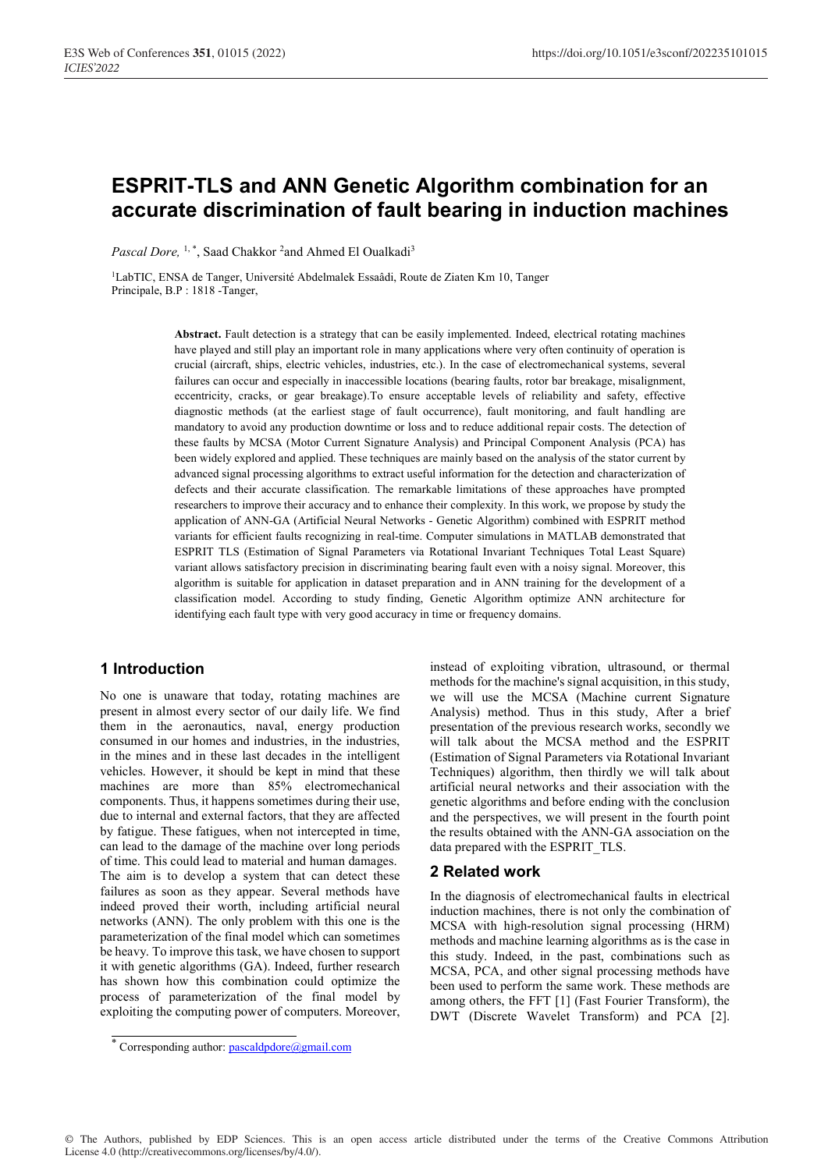# ESPRIT-TLS and ANN Genetic Algorithm combination for an accurate discrimination of fault bearing in induction machines

Pascal Dore, <sup>1,\*</sup>, Saad Chakkor <sup>2</sup>and Ahmed El Oualkadi<sup>3</sup>

1LabTIC, ENSA de Tanger, Université Abdelmalek Essaâdi, Route de Ziaten Km 10, Tanger Principale, B.P : 1818 -Tanger,

> Abstract. Fault detection is a strategy that can be easily implemented. Indeed, electrical rotating machines have played and still play an important role in many applications where very often continuity of operation is crucial (aircraft, ships, electric vehicles, industries, etc.). In the case of electromechanical systems, several failures can occur and especially in inaccessible locations (bearing faults, rotor bar breakage, misalignment, eccentricity, cracks, or gear breakage).To ensure acceptable levels of reliability and safety, effective diagnostic methods (at the earliest stage of fault occurrence), fault monitoring, and fault handling are mandatory to avoid any production downtime or loss and to reduce additional repair costs. The detection of these faults by MCSA (Motor Current Signature Analysis) and Principal Component Analysis (PCA) has been widely explored and applied. These techniques are mainly based on the analysis of the stator current by advanced signal processing algorithms to extract useful information for the detection and characterization of defects and their accurate classification. The remarkable limitations of these approaches have prompted researchers to improve their accuracy and to enhance their complexity. In this work, we propose by study the application of ANN-GA (Artificial Neural Networks - Genetic Algorithm) combined with ESPRIT method variants for efficient faults recognizing in real-time. Computer simulations in MATLAB demonstrated that ESPRIT TLS (Estimation of Signal Parameters via Rotational Invariant Techniques Total Least Square) variant allows satisfactory precision in discriminating bearing fault even with a noisy signal. Moreover, this algorithm is suitable for application in dataset preparation and in ANN training for the development of a classification model. According to study finding, Genetic Algorithm optimize ANN architecture for identifying each fault type with very good accuracy in time or frequency domains.

# 1 Introduction

No one is unaware that today, rotating machines are present in almost every sector of our daily life. We find them in the aeronautics, naval, energy production consumed in our homes and industries, in the industries, in the mines and in these last decades in the intelligent vehicles. However, it should be kept in mind that these machines are more than 85% electromechanical components. Thus, it happens sometimes during their use, due to internal and external factors, that they are affected by fatigue. These fatigues, when not intercepted in time, can lead to the damage of the machine over long periods of time. This could lead to material and human damages. The aim is to develop a system that can detect these failures as soon as they appear. Several methods have indeed proved their worth, including artificial neural networks (ANN). The only problem with this one is the parameterization of the final model which can sometimes be heavy. To improve this task, we have chosen to support it with genetic algorithms (GA). Indeed, further research has shown how this combination could optimize the process of parameterization of the final model by exploiting the computing power of computers. Moreover,

instead of exploiting vibration, ultrasound, or thermal methods for the machine's signal acquisition, in this study, we will use the MCSA (Machine current Signature Analysis) method. Thus in this study, After a brief presentation of the previous research works, secondly we will talk about the MCSA method and the ESPRIT (Estimation of Signal Parameters via Rotational Invariant Techniques) algorithm, then thirdly we will talk about artificial neural networks and their association with the genetic algorithms and before ending with the conclusion and the perspectives, we will present in the fourth point the results obtained with the ANN-GA association on the data prepared with the ESPRIT\_TLS.

# 2 Related work

In the diagnosis of electromechanical faults in electrical induction machines, there is not only the combination of MCSA with high-resolution signal processing (HRM) methods and machine learning algorithms as is the case in this study. Indeed, in the past, combinations such as MCSA, PCA, and other signal processing methods have been used to perform the same work. These methods are among others, the FFT [1] (Fast Fourier Transform), the DWT (Discrete Wavelet Transform) and PCA [2].

© The Authors, published by EDP Sciences. This is an open access article distributed under the terms of the Creative Commons Attribution License 4.0 (http://creativecommons.org/licenses/by/4.0/).

<sup>\*</sup> Corresponding author: pascaldpdore@gmail.com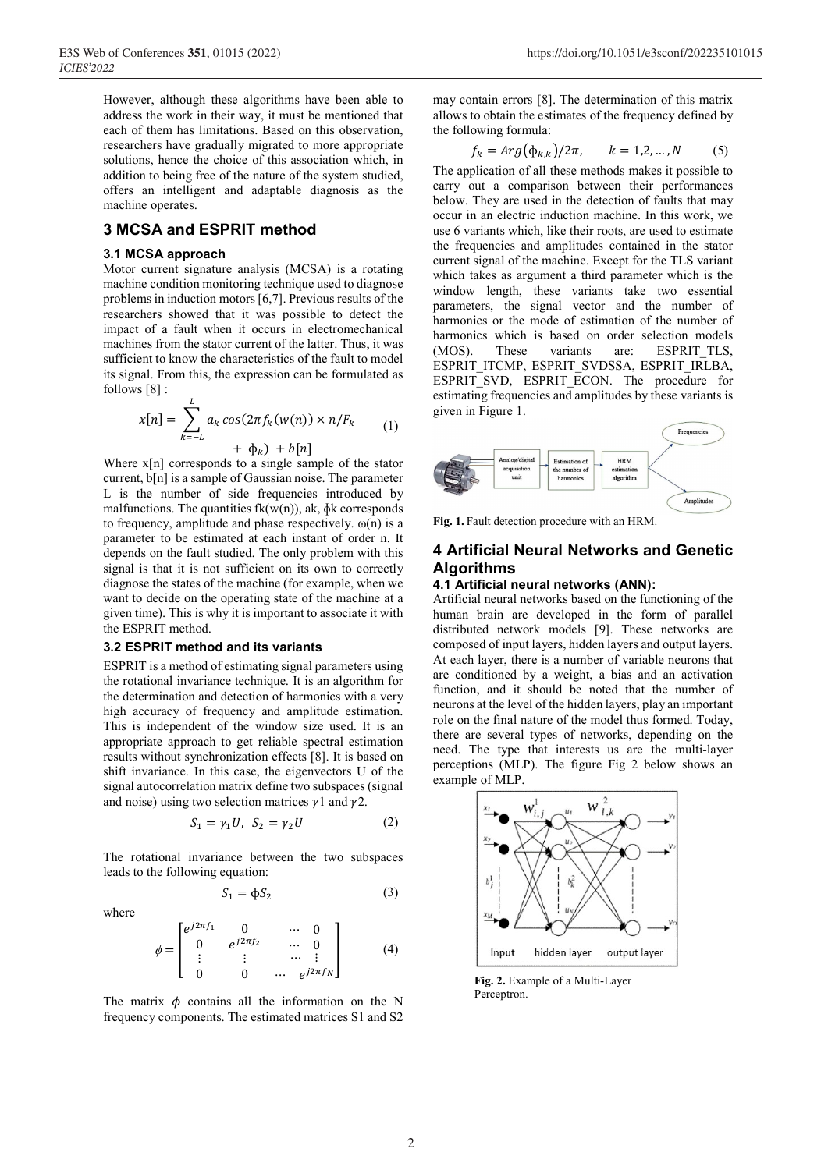However, although these algorithms have been able to address the work in their way, it must be mentioned that each of them has limitations. Based on this observation, researchers have gradually migrated to more appropriate solutions, hence the choice of this association which, in addition to being free of the nature of the system studied, offers an intelligent and adaptable diagnosis as the machine operates.

# 3 MCSA and ESPRIT method

### 3.1 MCSA approach

Motor current signature analysis (MCSA) is a rotating machine condition monitoring technique used to diagnose problems in induction motors [6,7]. Previous results of the researchers showed that it was possible to detect the impact of a fault when it occurs in electromechanical machines from the stator current of the latter. Thus, it was sufficient to know the characteristics of the fault to model its signal. From this, the expression can be formulated as follows [8] :

$$
x[n] = \sum_{k=-L}^{L} a_k \cos(2\pi f_k(w(n)) \times n/F_k
$$
  
+  $\Phi_k$ ) +  $b[n]$  (1)

Where x[n] corresponds to a single sample of the stator current, b[n] is a sample of Gaussian noise. The parameter L is the number of side frequencies introduced by malfunctions. The quantities  $fk(w(n))$ , ak,  $\phi k$  corresponds to frequency, amplitude and phase respectively.  $\omega(n)$  is a parameter to be estimated at each instant of order n. It depends on the fault studied. The only problem with this signal is that it is not sufficient on its own to correctly diagnose the states of the machine (for example, when we want to decide on the operating state of the machine at a given time). This is why it is important to associate it with the ESPRIT method.

#### 3.2 ESPRIT method and its variants

ESPRIT is a method of estimating signal parameters using the rotational invariance technique. It is an algorithm for the determination and detection of harmonics with a very high accuracy of frequency and amplitude estimation. This is independent of the window size used. It is an appropriate approach to get reliable spectral estimation results without synchronization effects [8]. It is based on shift invariance. In this case, the eigenvectors U of the signal autocorrelation matrix define two subspaces (signal and noise) using two selection matrices  $\nu$ 1 and  $\nu$ 2.

$$
S_1 = \gamma_1 U, \ S_2 = \gamma_2 U \tag{2}
$$

The rotational invariance between the two subspaces leads to the following equation:

$$
S_1 = \phi S_2 \tag{3}
$$

where

$$
\phi = \begin{bmatrix} e^{j2\pi f_1} & 0 & \cdots & 0 \\ 0 & e^{j2\pi f_2} & \cdots & 0 \\ \vdots & \vdots & \cdots & \vdots \\ 0 & 0 & \cdots & e^{j2\pi f_N} \end{bmatrix}
$$
 (4)

The matrix  $\phi$  contains all the information on the N frequency components. The estimated matrices S1 and S2 may contain errors [8]. The determination of this matrix allows to obtain the estimates of the frequency defined by the following formula:

$$
f_k = Arg(\Phi_{k,k})/2\pi, \qquad k = 1, 2, \dots, N \tag{5}
$$

The application of all these methods makes it possible to carry out a comparison between their performances below. They are used in the detection of faults that may occur in an electric induction machine. In this work, we use 6 variants which, like their roots, are used to estimate the frequencies and amplitudes contained in the stator current signal of the machine. Except for the TLS variant which takes as argument a third parameter which is the window length, these variants take two essential parameters, the signal vector and the number of harmonics or the mode of estimation of the number of harmonics which is based on order selection models (MOS). These variants are: ESPRIT TLS, ESPRIT\_ITCMP, ESPRIT\_SVDSSA, ESPRIT\_IRLBA, ESPRIT\_SVD, ESPRIT\_ECON. The procedure for estimating frequencies and amplitudes by these variants is given in Figure 1.



Fig. 1. Fault detection procedure with an HRM.

# 4 Artificial Neural Networks and Genetic Algorithms

## 4.1 Artificial neural networks (ANN):

Artificial neural networks based on the functioning of the human brain are developed in the form of parallel distributed network models [9]. These networks are composed of input layers, hidden layers and output layers. At each layer, there is a number of variable neurons that are conditioned by a weight, a bias and an activation function, and it should be noted that the number of neurons at the level of the hidden layers, play an important role on the final nature of the model thus formed. Today, there are several types of networks, depending on the need. The type that interests us are the multi-layer perceptions (MLP). The figure Fig 2 below shows an example of MLP.



Fig. 2. Example of a Multi-Layer Perceptron.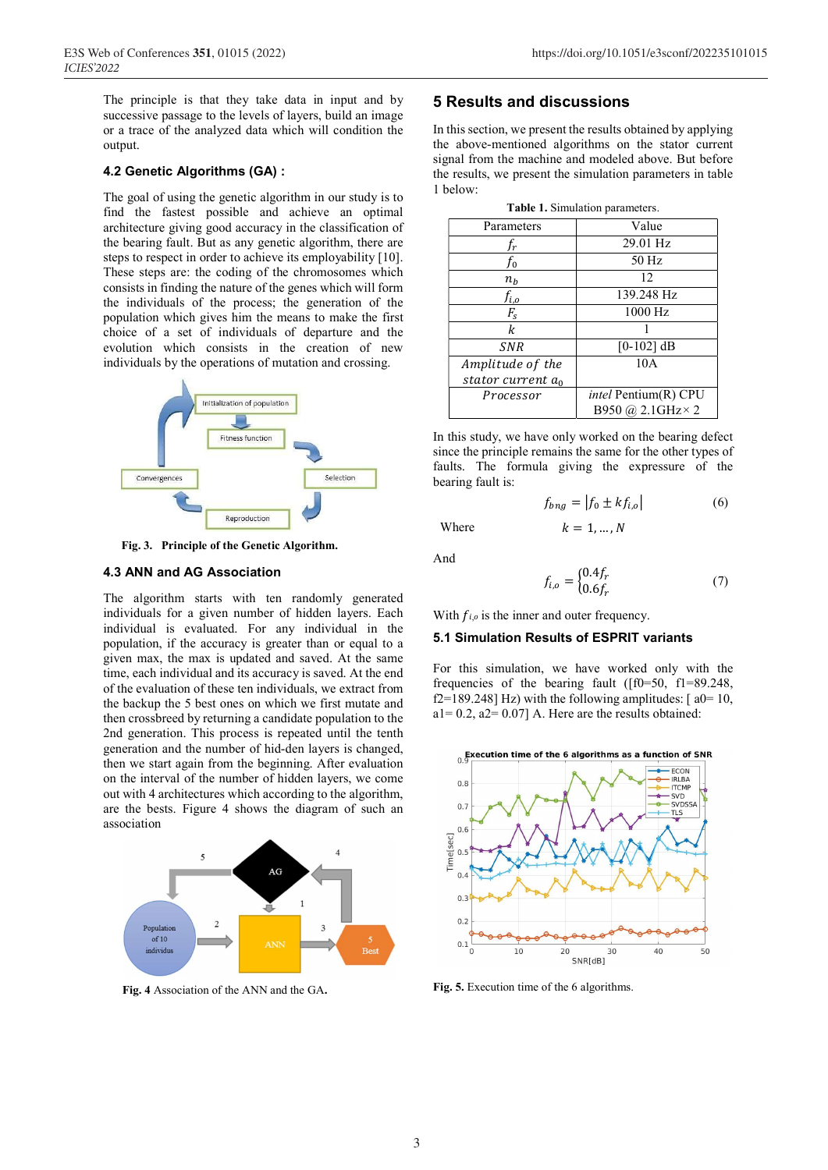The principle is that they take data in input and by successive passage to the levels of layers, build an image or a trace of the analyzed data which will condition the output.

### 4.2 Genetic Algorithms (GA) :

The goal of using the genetic algorithm in our study is to find the fastest possible and achieve an optimal architecture giving good accuracy in the classification of the bearing fault. But as any genetic algorithm, there are steps to respect in order to achieve its employability [10]. These steps are: the coding of the chromosomes which consists in finding the nature of the genes which will form the individuals of the process; the generation of the population which gives him the means to make the first choice of a set of individuals of departure and the evolution which consists in the creation of new individuals by the operations of mutation and crossing.



Fig. 3. Principle of the Genetic Algorithm.

#### 4.3 ANN and AG Association

The algorithm starts with ten randomly generated individuals for a given number of hidden layers. Each individual is evaluated. For any individual in the population, if the accuracy is greater than or equal to a given max, the max is updated and saved. At the same time, each individual and its accuracy is saved. At the end of the evaluation of these ten individuals, we extract from the backup the 5 best ones on which we first mutate and then crossbreed by returning a candidate population to the 2nd generation. This process is repeated until the tenth generation and the number of hid-den layers is changed, then we start again from the beginning. After evaluation on the interval of the number of hidden layers, we come out with 4 architectures which according to the algorithm, are the bests. Figure 4 shows the diagram of such an association



Fig. 4 Association of the ANN and the GA.

# 5 Results and discussions

In this section, we present the results obtained by applying the above-mentioned algorithms on the stator current signal from the machine and modeled above. But before the results, we present the simulation parameters in table 1 below:

Table 1. Simulation parameters.

| <b>rable 1.</b> Summation parameters. |                             |  |  |  |  |
|---------------------------------------|-----------------------------|--|--|--|--|
| Parameters                            | Value                       |  |  |  |  |
| f <sub>r</sub>                        | 29.01 Hz                    |  |  |  |  |
| fo                                    | 50 Hz                       |  |  |  |  |
| $n_h$                                 | 12                          |  |  |  |  |
| $f_{i,o}$                             | 139.248 Hz                  |  |  |  |  |
| $F_{S}$                               | 1000 Hz                     |  |  |  |  |
| k                                     |                             |  |  |  |  |
| <b>SNR</b>                            | $[0-102]$ dB                |  |  |  |  |
| Amplitude of the                      | 10A                         |  |  |  |  |
| stator current $a_0$                  |                             |  |  |  |  |
| Processor                             | <i>intel</i> Pentium(R) CPU |  |  |  |  |
|                                       | B950 @ 2.1GHz × 2           |  |  |  |  |

In this study, we have only worked on the bearing defect since the principle remains the same for the other types of faults. The formula giving the expressure of the bearing fault is:

$$
f_{bng} = |f_0 \pm kf_{i,o}| \tag{6}
$$

Where  $k = 1, ..., N$ 

And

$$
f_{i,o} = \begin{cases} 0.4f_r \\ 0.6f_r \end{cases}
$$
 (7)

With  $f_{i,o}$  is the inner and outer frequency.

#### 5.1 Simulation Results of ESPRIT variants

For this simulation, we have worked only with the frequencies of the bearing fault ([f0=50, f1=89.248, f2=189.248] Hz) with the following amplitudes:  $[a0=10, b]$  $a1= 0.2$ ,  $a2= 0.07$ ] A. Here are the results obtained:



Fig. 5. Execution time of the 6 algorithms.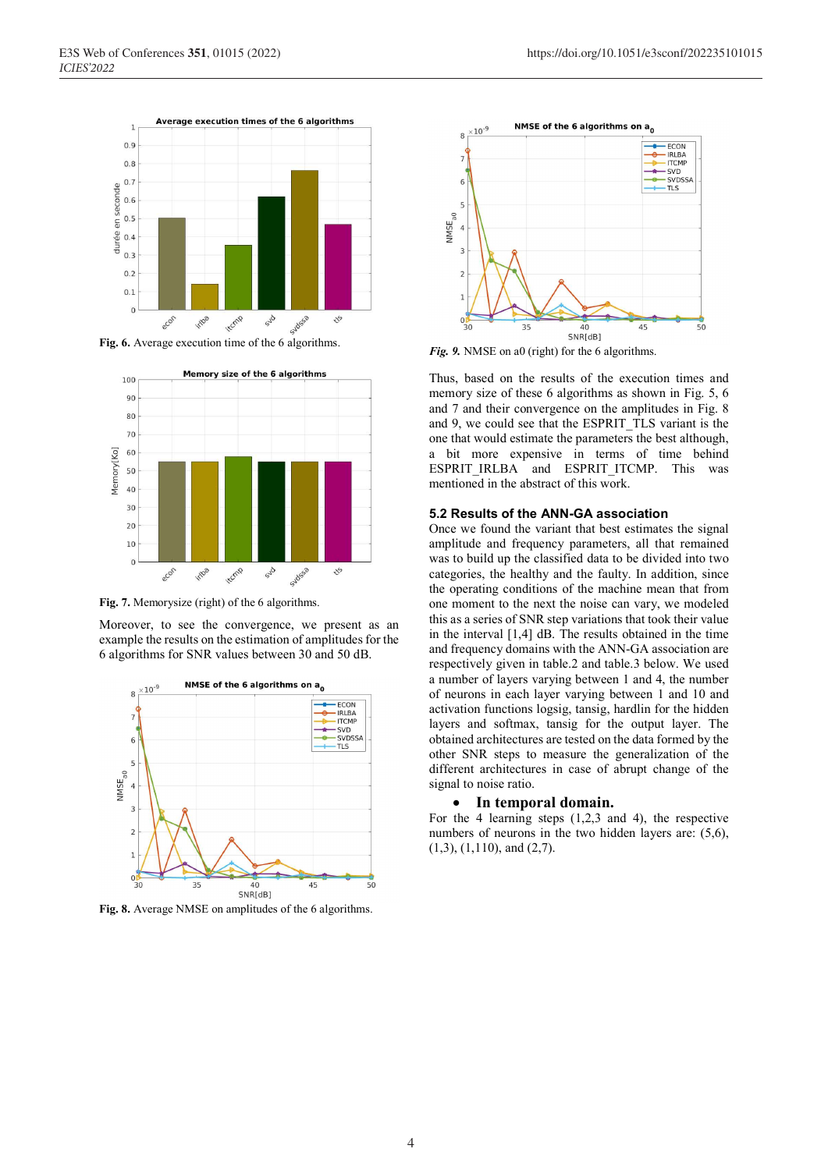

Fig. 6. Average execution time of the 6 algorithms.



Fig. 7. Memorysize (right) of the 6 algorithms.

Moreover, to see the convergence, we present as an example the results on the estimation of amplitudes for the 6 algorithms for SNR values between 30 and 50 dB.



Fig. 8. Average NMSE on amplitudes of the 6 algorithms.



Fig. 9. NMSE on a0 (right) for the 6 algorithms.

Thus, based on the results of the execution times and memory size of these 6 algorithms as shown in Fig. 5, 6 and 7 and their convergence on the amplitudes in Fig. 8 and 9, we could see that the ESPRIT\_TLS variant is the one that would estimate the parameters the best although, a bit more expensive in terms of time behind ESPRIT\_IRLBA and ESPRIT\_ITCMP. This was mentioned in the abstract of this work.

#### 5.2 Results of the ANN-GA association

Once we found the variant that best estimates the signal amplitude and frequency parameters, all that remained was to build up the classified data to be divided into two categories, the healthy and the faulty. In addition, since the operating conditions of the machine mean that from one moment to the next the noise can vary, we modeled this as a series of SNR step variations that took their value in the interval [1,4] dB. The results obtained in the time and frequency domains with the ANN-GA association are respectively given in table.2 and table.3 below. We used a number of layers varying between 1 and 4, the number of neurons in each layer varying between 1 and 10 and activation functions logsig, tansig, hardlin for the hidden layers and softmax, tansig for the output layer. The obtained architectures are tested on the data formed by the other SNR steps to measure the generalization of the different architectures in case of abrupt change of the signal to noise ratio.

#### In temporal domain.

For the 4 learning steps  $(1,2,3)$  and 4), the respective numbers of neurons in the two hidden layers are: (5,6), (1,3), (1,110), and (2,7).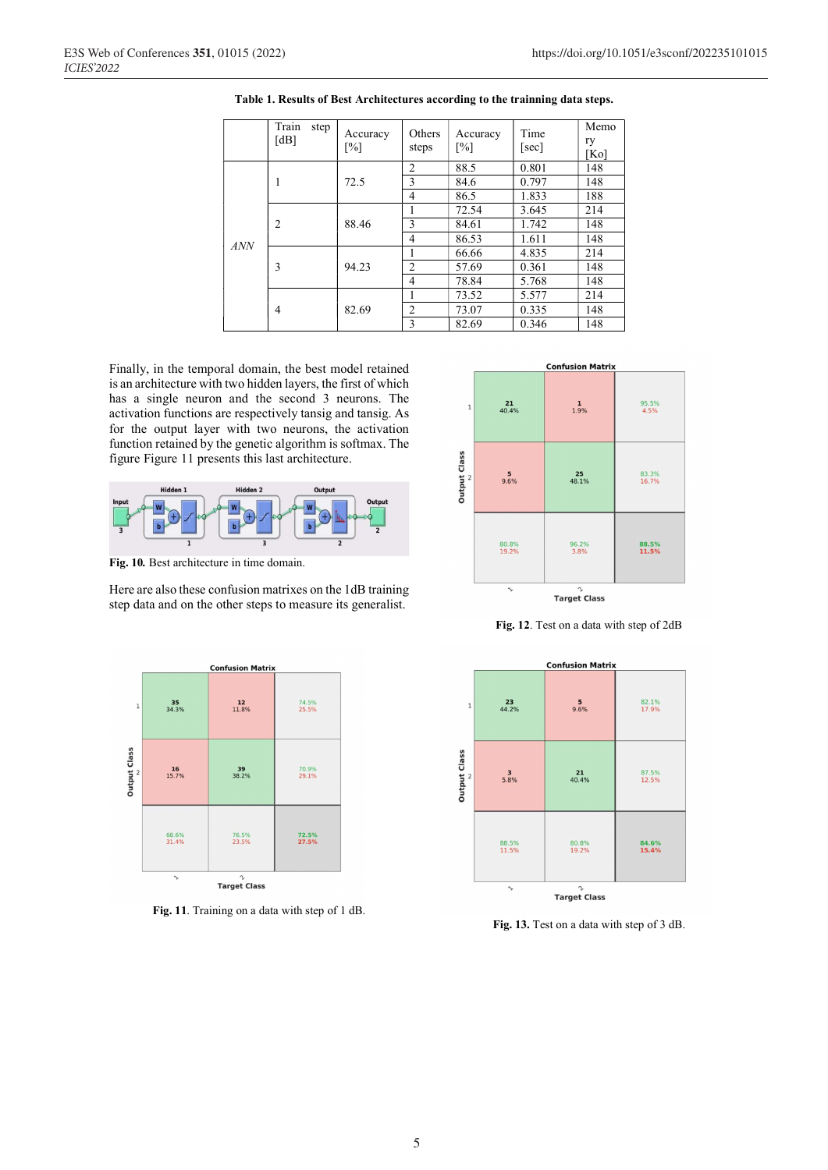|     | Train<br>step<br>[dB] | Accuracy<br>$\lceil\% \rceil$ | Others<br>steps | Accuracy<br>$\lceil\% \rceil$ | Time<br>[sec] | Memo<br>ry<br>[Ko] |
|-----|-----------------------|-------------------------------|-----------------|-------------------------------|---------------|--------------------|
| ANN | 1                     |                               | $\overline{2}$  | 88.5                          | 0.801         | 148                |
|     |                       | 72.5                          | 3               | 84.6                          | 0.797         | 148                |
|     |                       |                               | 4               | 86.5                          | 1.833         | 188                |
|     | $\overline{2}$        |                               | 1               | 72.54                         | 3.645         | 214                |
|     |                       | 88.46                         | 3               | 84.61                         | 1.742         | 148                |
|     |                       |                               | 4               | 86.53                         | 1.611         | 148                |
|     | 3                     |                               | 1               | 66.66                         | 4.835         | 214                |
|     |                       | 94.23                         | $\overline{c}$  | 57.69                         | 0.361         | 148                |
|     |                       |                               | 4               | 78.84                         | 5.768         | 148                |
|     | 4                     |                               | 1               | 73.52                         | 5.577         | 214                |
|     |                       | 82.69                         | $\overline{2}$  | 73.07                         | 0.335         | 148                |
|     |                       |                               | 3               | 82.69                         | 0.346         | 148                |

Table 1. Results of Best Architectures according to the trainning data steps.

Finally, in the temporal domain, the best model retained is an architecture with two hidden layers, the first of which has a single neuron and the second 3 neurons. The activation functions are respectively tansig and tansig. As for the output layer with two neurons, the activation function retained by the genetic algorithm is softmax. The figure Figure 11 presents this last architecture.



Fig. 10. Best architecture in time domain.

Here are also these confusion matrixes on the 1dB training step data and on the other steps to measure its generalist.



Fig. 11. Training on a data with step of 1 dB.



Fig. 12. Test on a data with step of 2dB



Fig. 13. Test on a data with step of 3 dB.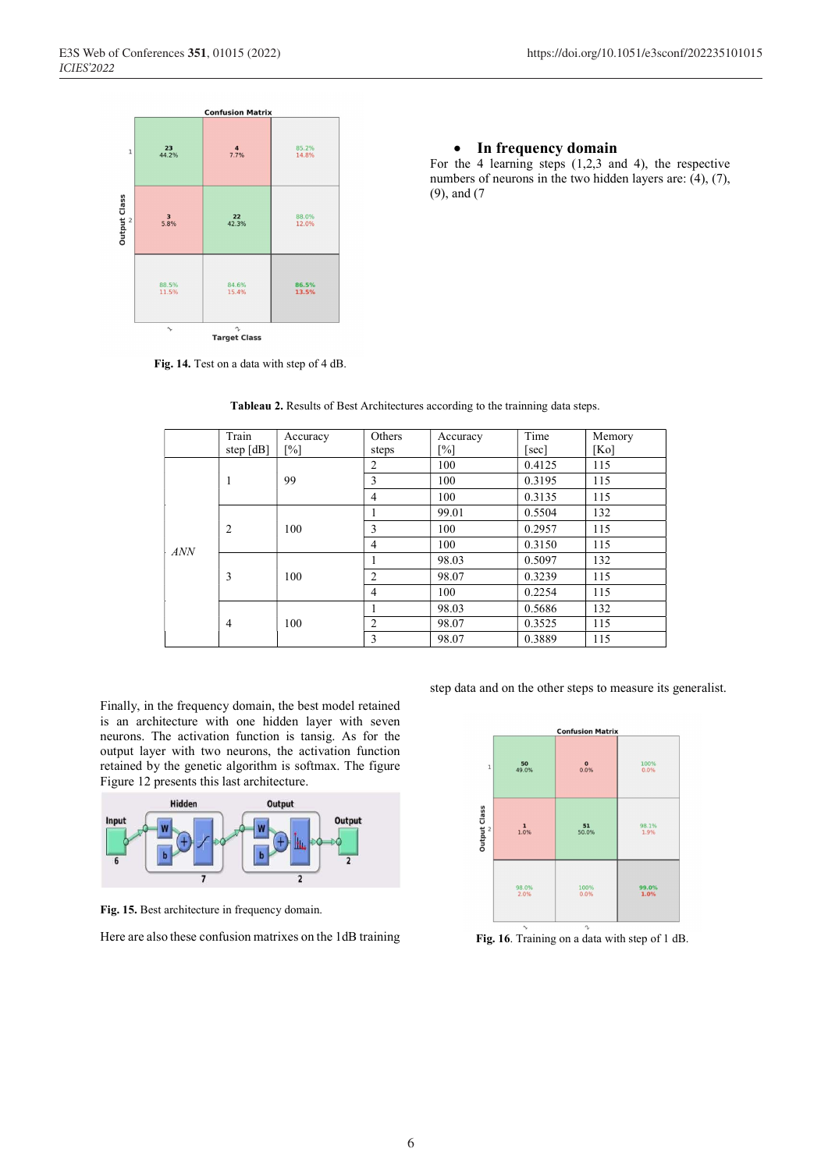• In frequency domain

For the 4 learning steps (1,2,3 and 4), the respective numbers of neurons in the two hidden layers are: (4), (7),



 $\begin{array}{c}\n\gamma\\ \uparrow\\ \textbf{Target Class}\n\end{array}$ 

Fig. 14. Test on a data with step of 4 dB.

Train step [dB] Accuracy [%] **Others** steps Accuracy  $\frac{[%]}{100}$ Time [sec] Memory [Ko]<br>115 ANN 1 99 2 100 0.4125 3 100 0.3195 115 4 100 0.3135 115 2  $100$ 1 99.01 0.5504 132 3 100 0.2957 115 4 100 0.3150 115 3 100 1 98.03 0.5097 132 2 98.07 0.3239 115 4 100 0.2254 115 4 100 1 98.03 0.5686 132 2 98.07 0.3525 115 3 98.07 0.3889 115

Tableau 2. Results of Best Architectures according to the trainning data steps.

(9), and (7

Finally, in the frequency domain, the best model retained is an architecture with one hidden layer with seven neurons. The activation function is tansig. As for the output layer with two neurons, the activation function retained by the genetic algorithm is softmax. The figure Figure 12 presents this last architecture.



Fig. 15. Best architecture in frequency domain.

Here are also these confusion matrixes on the 1dB training

step data and on the other steps to measure its generalist.



Fig. 16. Training on a data with step of 1 dB.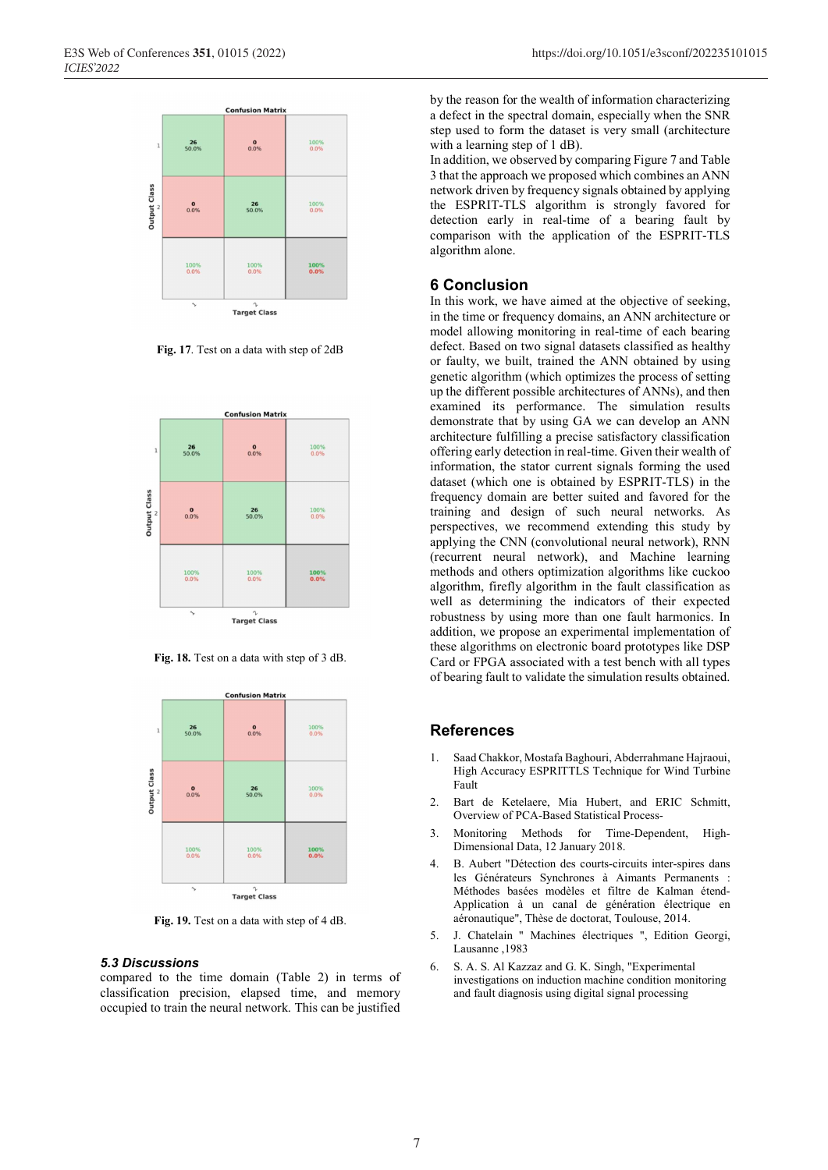

Fig. 17. Test on a data with step of 2dB



Fig. 18. Test on a data with step of 3 dB.



Fig. 19. Test on a data with step of 4 dB.

#### 5.3 Discussions

compared to the time domain (Table 2) in terms of classification precision, elapsed time, and memory occupied to train the neural network. This can be justified

by the reason for the wealth of information characterizing a defect in the spectral domain, especially when the SNR step used to form the dataset is very small (architecture with a learning step of 1 dB).

In addition, we observed by comparing Figure 7 and Table 3 that the approach we proposed which combines an ANN network driven by frequency signals obtained by applying the ESPRIT-TLS algorithm is strongly favored for detection early in real-time of a bearing fault by comparison with the application of the ESPRIT-TLS algorithm alone.

## 6 Conclusion

In this work, we have aimed at the objective of seeking. in the time or frequency domains, an ANN architecture or model allowing monitoring in real-time of each bearing defect. Based on two signal datasets classified as healthy or faulty, we built, trained the ANN obtained by using genetic algorithm (which optimizes the process of setting up the different possible architectures of ANNs), and then examined its performance. The simulation results demonstrate that by using GA we can develop an ANN architecture fulfilling a precise satisfactory classification offering early detection in real-time. Given their wealth of information, the stator current signals forming the used dataset (which one is obtained by ESPRIT-TLS) in the frequency domain are better suited and favored for the training and design of such neural networks. As perspectives, we recommend extending this study by applying the CNN (convolutional neural network), RNN (recurrent neural network), and Machine learning methods and others optimization algorithms like cuckoo algorithm, firefly algorithm in the fault classification as well as determining the indicators of their expected robustness by using more than one fault harmonics. In addition, we propose an experimental implementation of these algorithms on electronic board prototypes like DSP Card or FPGA associated with a test bench with all types of bearing fault to validate the simulation results obtained.

### References

- 1. Saad Chakkor, Mostafa Baghouri, Abderrahmane Hajraoui, High Accuracy ESPRITTLS Technique for Wind Turbine Fault
- 2. Bart de Ketelaere, Mia Hubert, and ERIC Schmitt, Overview of PCA-Based Statistical Process-
- 3. Monitoring Methods for Time-Dependent, High-Dimensional Data, 12 January 2018.
- 4. B. Aubert "Détection des courts-circuits inter-spires dans les Générateurs Synchrones à Aimants Permanents : Méthodes basées modèles et filtre de Kalman étend-Application à un canal de génération électrique en aéronautique", Thèse de doctorat, Toulouse, 2014.
- 5. J. Chatelain " Machines électriques ", Edition Georgi, Lausanne ,1983
- 6. S. A. S. Al Kazzaz and G. K. Singh, "Experimental investigations on induction machine condition monitoring and fault diagnosis using digital signal processing